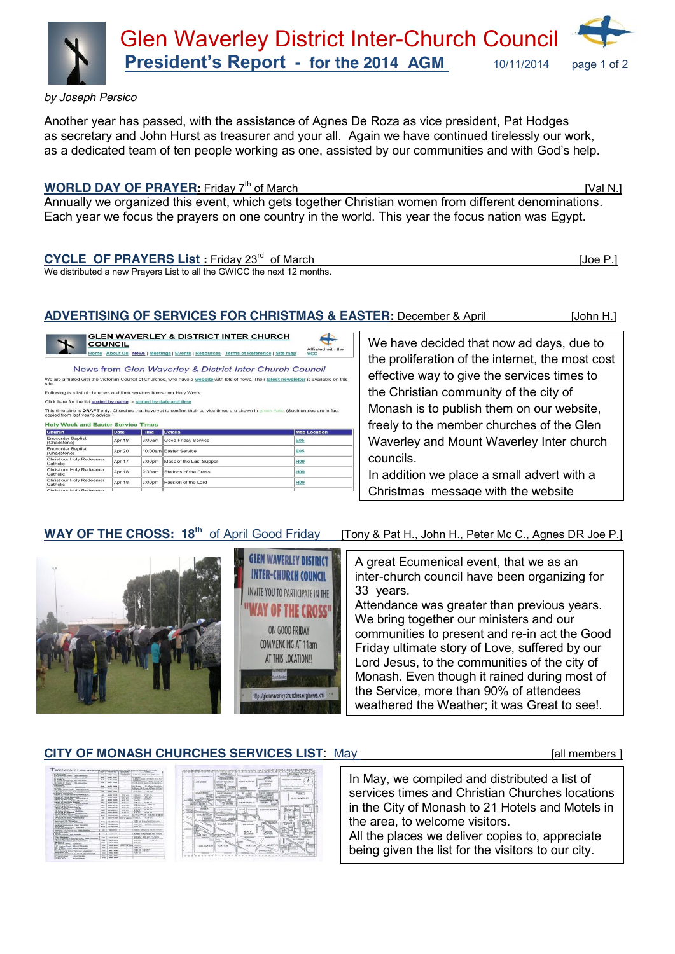

*by Joseph Persico* 

Another year has passed, with the assistance of Agnes De Roza as vice president, Pat Hodges as secretary and John Hurst as treasurer and your all. Again we have continued tirelessly our work, as a dedicated team of ten people working as one, assisted by our communities and with God's help.

### **WORLD DAY OF PRAYER:** Friday 7<sup>th</sup> of March **[Val N.]** [Val N.]

Annually we organized this event, which gets together Christian women from different denominations. Each year we focus the prayers on one country in the world. This year the focus nation was Egypt.

 $\epsilon$ 

## CYCLE OF PRAYERS List : Friday 23<sup>rd</sup> of March [Joe P.] [Joe P.]

We distributed a new Prayers List to all the GWICC the next 12 months.

## **ADVERTISING OF SERVICES FOR CHRISTMAS & EASTER:** December & April[John H.]

**GLEN WAVERLEY DISTRICT INTER-CHURCH COUNCIL INVITE YOU TO PARTICIPATE IN THE** AY OF THE CROSS" ON GOOD FRIDAY **COMMENCING AT 11am** AT THIS LOCATION!!

vaverleychurches.org/news.xml

<u>EN WAVERLEY & DISTRICT INTER CHURCH</u> **COUNCIL** Home | About Us | News | Meetings | Events | Resources | Terms of Reference | Site map

News from Glen Waverley & District Inter Church Council

affliated with the Victorian Council of Churches, who have a <u>website</u> with lots of news. Their <u>latest newsletter</u> is available on thi

Following is a list of churches and their services times over Holy Week

Click here for the list sorted by name or sorted by date and time

This timetable is DRAFT only. Churches that have yet to confirm their service times are shown in green italic. (Such entries are in fact<br>This timetable is DRAFT only. Churches that have yet to confirm their service times a

#### **Holy Week and Easter Service Times**

| <b>Church</b>                                                  | <b>Date</b> | <b>Time</b>        | <b>Details</b>          | Map Location<br><b>E05</b> |  |  |
|----------------------------------------------------------------|-------------|--------------------|-------------------------|----------------------------|--|--|
| <b>Encounter Baptist</b><br>(Chadstone)                        | Apr 18      | 9.00am             | Good Friday Service     |                            |  |  |
| <b>Encounter Baptist</b><br>(Chadstone)                        | Apr 20      |                    | 10:00am Easter Service  | <b>E05</b>                 |  |  |
| Christ our Holy Redeemer<br>Catholic                           | Apr 17      | $7:00$ pm          | Mass of the Last Supper | <b>H09</b>                 |  |  |
| Christ our Holy Redeemer<br>Catholic                           | Apr 18      | 9:30am             | Stations of the Cross   | <b>H09</b>                 |  |  |
| Christ our Holy Redeemer<br>Catholic                           | Apr 18      | 3:00 <sub>pm</sub> | Passion of the Lord     | <b>H09</b>                 |  |  |
| the property of the company's property and the property of the |             |                    |                         |                            |  |  |

We have decided that now ad days, due to the proliferation of the internet, the most cost effective way to give the services times to the Christian community of the city of Monash is to publish them on our website, freely to the member churches of the Glen Waverley and Mount Waverley Inter church councils.

In addition we place a small advert with a Christmas message with the website

# **WAY OF THE CROSS: 18<sup>th</sup>** of April Good Friday [Tony & Pat H., John H., Peter Mc C., Agnes DR Joe P.]

A great Ecumenical event, that we as an inter-church council have been organizing for 33 years.

Attendance was greater than previous years. We bring together our ministers and our communities to present and re-in act the Good Friday ultimate story of Love, suffered by our Lord Jesus, to the communities of the city of Monash. Even though it rained during most of the Service, more than 90% of attendees weathered the Weather; it was Great to see!.

## **CITY OF MONASH CHURCHES SERVICES LIST**: May **Example 10 and Service 20 and Service 20 and All members ]**



|                                           | <b>BLRAVOOD</b>                                              |                                |                                                | <b>PERSONAL MONAGERY &amp;</b>                                                                    |                   |
|-------------------------------------------|--------------------------------------------------------------|--------------------------------|------------------------------------------------|---------------------------------------------------------------------------------------------------|-------------------|
| <b>SERVICE</b>                            | <b>Texas Polic</b><br><b><i><u>GERMANN BE GORDAD</u></i></b> | <b>SEARCHER</b>                | <b>ALCOHOL:</b><br>coreka                      |                                                                                                   |                   |
| ABUMOOD                                   | MOINT HAVENUT                                                | <b><i>SENIOR MAKERING</i></b>  | <b>EDIMENT</b>                                 | PAGE EDPY & SATINGUPON                                                                            |                   |
|                                           | <b>HENCE</b>                                                 |                                | <b>Zonagenier</b><br>CHAIRMAN                  | <b>ALC: LOS LIGHT</b>                                                                             |                   |
|                                           | <b>WEIGHT</b><br><b>COLOR</b><br>1750                        | ---                            |                                                | -----<br><b>ATTENDED IN A STATE CARDS</b>                                                         |                   |
| <b>STORAGE WAS</b>                        | <b>DARK WITH</b><br><b>GESTERCHEN</b>                        | <b>SOUNDS</b>                  | <b><i><u>PERMITTEN</u></i></b>                 | <b>SALEMAN</b><br>NA ATRACTANT                                                                    |                   |
| CIFADSTONE<br><b>IF SAIN</b>              | <b>AGLINT VANVION, 811</b>                                   |                                | --<br>222                                      | <b>WANTED</b><br>$\overline{\phantom{m}}$                                                         |                   |
| <b>UMPRO</b>                              | <b>VARACTER</b><br>--                                        | $\sim$<br>Marry 1998 Free and  | <b><i>SANGORA</i></b>                          |                                                                                                   |                   |
| - notified<br><b>CONTRACTOR</b><br>n.     |                                                              | osan                           |                                                | <b>QUIN WAVERLEY</b>                                                                              |                   |
| uanti l<br><b><i>Address</i></b><br>تتبته | $\sim$<br><b>CONTROL</b>                                     | <b>WITH BUT INVENTION STAT</b> | <b>CALCULUS</b><br><b>Grippe</b><br>una        |                                                                                                   |                   |
| mon<br>irian                              | w<br><b>SERREN</b>                                           | <b>Middle Star Middle</b>      | <b>WARNTHOUS</b>                               | 45.15<br><b><i><u>PERMITERS</u></i></b><br><b>PAIR</b>                                            |                   |
| <b>CONTROL</b><br><b>Silvace</b>          | <b><i>BOJNT WAVER</i></b> #1                                 | severed Tourusian Etr          | GLEN WANDS BY                                  | eas<br><br>--                                                                                     |                   |
| <b>START</b>                              | <b>Reported</b><br><b>Primar</b>                             |                                |                                                | <b>Carl Land</b>                                                                                  |                   |
| OAKLEIGH EAST<br><b>KINDY KITSEN</b>      | <b>NEWWARE</b>                                               |                                |                                                | <b>ANGLOS</b><br><b>HALA</b>                                                                      |                   |
| <b>PERMIT ROLL BY</b><br>company.         | <b>ACAN</b><br>WHERE THE REAL                                |                                |                                                | 5.52192<br>Luthorin                                                                               |                   |
| <b>STALLATION</b>                         | <b>TANAH CITY</b> O                                          | <b><i>STANDARD CALLS</i></b>   | <b><i>COMMISSION WAS</i></b><br><b>WASHING</b> | WAND IN<br>AMER AVE                                                                               |                   |
|                                           | ONGLESSHIEMST                                                | NOTING NOT                     |                                                | <b>ALC</b>                                                                                        |                   |
| <b><i><u>PARTISTS</u></i></b>             |                                                              |                                |                                                |                                                                                                   |                   |
|                                           |                                                              | NORTH                          | NORTH                                          |                                                                                                   | Dresse            |
| m.<br>044181019                           | H.MTNODIL                                                    | <b>GLANTEN</b>                 | <b>GLAYTON</b>                                 |                                                                                                   | <b>CARGO A</b>    |
| period                                    | sportsco                                                     | <b>MONTHS</b>                  | Winterfeld                                     | 4999<br>M.X.ORAVE                                                                                 |                   |
|                                           |                                                              | - 200                          |                                                |                                                                                                   |                   |
| Cular Pictas Kitta                        | CLAYTON                                                      | CLAYTON                        | <b>MAGRAY</b>                                  |                                                                                                   | <b>CARGO</b><br>œ |
|                                           |                                                              |                                |                                                | <b>SCOVA</b><br><b><i><u>Barmaral</u></i></b><br><b>UMBRACH</b><br><b>HAFFAR</b><br><b>GATION</b> | und da            |
|                                           |                                                              |                                | <b>SPRESCHALE</b>                              |                                                                                                   |                   |
| <b>Sales and</b>                          | <b>SERVICE</b>                                               | <b>DEPARTMENT</b>              | <b>COV MOS</b>                                 | NOVALE<br>Fine<br><b>STATISTICS</b>                                                               | Guarda            |
|                                           |                                                              |                                |                                                |                                                                                                   |                   |

In May, we compiled and distributed a list of services times and Christian Churches locations in the City of Monash to 21 Hotels and Motels in the area, to welcome visitors.

All the places we deliver copies to, appreciate being given the list for the visitors to our city.